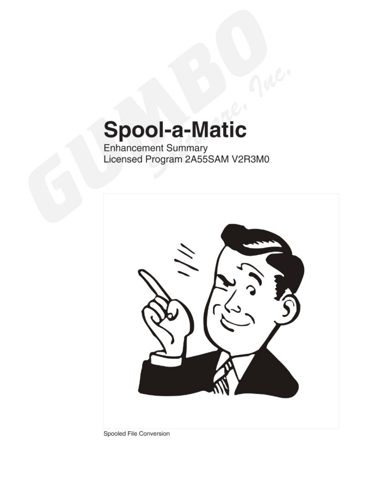# **Spool-a-Matic**

Enhancement Summary<br>Licensed Program 2A55SAM V2R3M0



Spooled File Conversion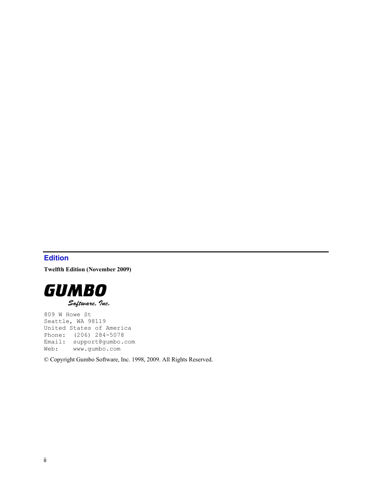## <span id="page-1-0"></span>**Edition**

**Twelfth Edition (November 2009)** 



809 W Howe St Seattle, WA 98119 United States of America Phone: (206) 284-5078 Email: support@gumbo.com Web: www.gumbo.com

© Copyright Gumbo Software, Inc. 1998, 2009. All Rights Reserved.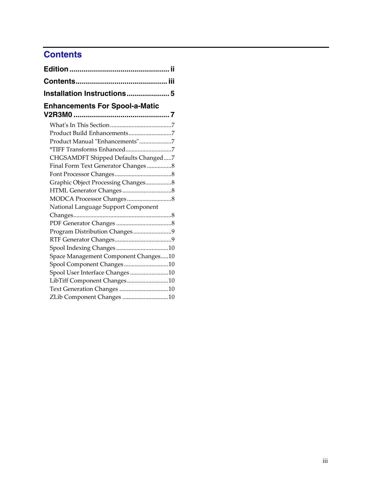# <span id="page-2-0"></span>**Contents**

| <b>Enhancements For Spool-a-Matic</b> |  |
|---------------------------------------|--|
|                                       |  |
|                                       |  |
| Product Manual "Enhancements"7        |  |
|                                       |  |
| CHGSAMDFT Shipped Defaults Changed7   |  |
|                                       |  |
|                                       |  |
| Graphic Object Processing Changes8    |  |
|                                       |  |
|                                       |  |
| National Language Support Component   |  |
|                                       |  |
|                                       |  |
| Program Distribution Changes9         |  |
|                                       |  |
|                                       |  |
| Space Management Component Changes10  |  |
| Spool Component Changes10             |  |
| Spool User Interface Changes 10       |  |
| LibTiff Component Changes10           |  |
| Text Generation Changes 10            |  |
| ZLib Component Changes 10             |  |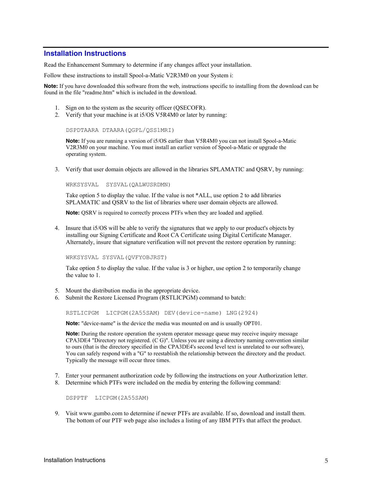#### <span id="page-4-0"></span>**Installation Instructions**

Read the Enhancement Summary to determine if any changes affect your installation.

Follow these instructions to install Spool-a-Matic V2R3M0 on your System i:

**Note:** If you have downloaded this software from the web, instructions specific to installing from the download can be found in the file "readme.htm" which is included in the download.

- 1. Sign on to the system as the security officer (QSECOFR).
- 2. Verify that your machine is at i5/OS V5R4M0 or later by running:

DSPDTAARA DTAARA(QGPL/QSS1MRI)

**Note:** If you are running a version of i5/OS earlier than V5R4M0 you can not install Spool-a-Matic V2R3M0 on your machine. You must install an earlier version of Spool-a-Matic or upgrade the operating system.

3. Verify that user domain objects are allowed in the libraries SPLAMATIC and QSRV, by running:

WRKSYSVAL SYSVAL(QALWUSRDMN)

Take option 5 to display the value. If the value is not \*ALL, use option 2 to add libraries SPLAMATIC and QSRV to the list of libraries where user domain objects are allowed.

**Note:** QSRV is required to correctly process PTFs when they are loaded and applied.

4. Insure that i5/OS will be able to verify the signatures that we apply to our product's objects by installing our Signing Certificate and Root CA Certificate using Digital Certificate Manager. Alternately, insure that signature verification will not prevent the restore operation by running:

WRKSYSVAL SYSVAL(QVFYOBJRST)

Take option 5 to display the value. If the value is 3 or higher, use option 2 to temporarily change the value to 1.

- 5. Mount the distribution media in the appropriate device.
- 6. Submit the Restore Licensed Program (RSTLICPGM) command to batch:

RSTLICPGM LICPGM(2A55SAM) DEV(device-name) LNG(2924)

**Note:** "device-name" is the device the media was mounted on and is usually OPT01.

**Note:** During the restore operation the system operator message queue may receive inquiry message CPA3DE4 "Directory not registered. (C G)". Unless you are using a directory naming convention similar to ours (that is the directory specified in the CPA3DE4's second level text is unrelated to our software), You can safely respond with a "G" to reestablish the relationship between the directory and the product. Typically the message will occur three times.

- 7. Enter your permanent authorization code by following the instructions on your Authorization letter.
- 8. Determine which PTFs were included on the media by entering the following command:

DSPPTF LICPGM(2A55SAM)

9. Visit www.gumbo.com to determine if newer PTFs are available. If so, download and install them. The bottom of our PTF web page also includes a listing of any IBM PTFs that affect the product.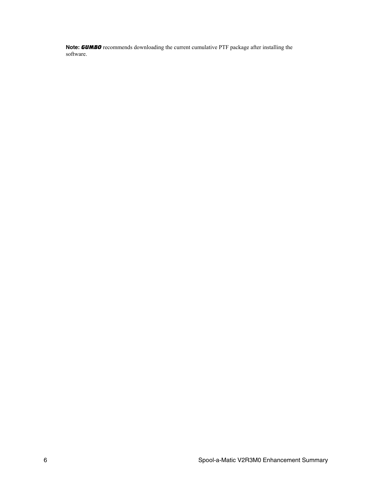**Note:** *GUMBO* recommends downloading the current cumulative PTF package after installing the software.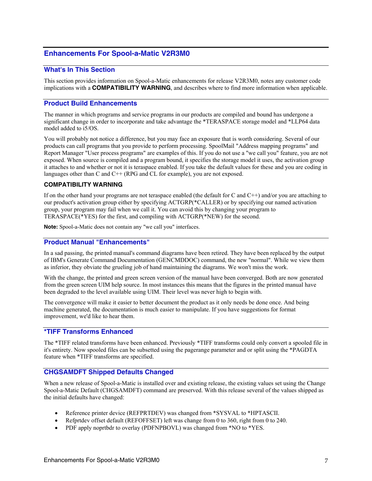#### <span id="page-6-0"></span>**Enhancements For Spool-a-Matic V2R3M0**

#### <span id="page-6-1"></span>**What's In This Section**

This section provides information on Spool-a-Matic enhancements for release V2R3M0, notes any customer code implications with a **COMPATIBILITY WARNING**, and describes where to find more information when applicable.

#### <span id="page-6-2"></span>**Product Build Enhancements**

The manner in which programs and service programs in our products are compiled and bound has undergone a significant change in order to incorporate and take advantage the \*TERASPACE storage model and \*LLP64 data model added to i5/OS.

You will probably not notice a difference, but you may face an exposure that is worth considering. Several of our products can call programs that you provide to perform processing. SpoolMail "Address mapping programs" and Report Manager "User process programs" are examples of this. If you do not use a "we call you" feature, you are not exposed. When source is compiled and a program bound, it specifies the storage model it uses, the activation group it attaches to and whether or not it is teraspace enabled. If you take the default values for these and you are coding in languages other than C and  $C++$  (RPG and CL for example), you are not exposed.

#### **COMPATIBILITY WARNING**

If on the other hand your programs are not teraspace enabled (the default for C and C++) and/or you are attaching to our product's activation group either by specifying ACTGRP(\*CALLER) or by specifying our named activation group, your program may fail when we call it. You can avoid this by changing your program to TERASPACE(\*YES) for the first, and compiling with ACTGRP(\*NEW) for the second.

**Note:** Spool-a-Matic does not contain any "we call you" interfaces.

#### <span id="page-6-3"></span>**Product Manual "Enhancements"**

In a sad passing, the printed manual's command diagrams have been retired. They have been replaced by the output of IBM's Generate Command Documentation (GENCMDDOC) command, the new "normal". While we view them as inferior, they obviate the grueling job of hand maintaining the diagrams. We won't miss the work.

With the change, the printed and green screen version of the manual have been converged. Both are now generated from the green screen UIM help source. In most instances this means that the figures in the printed manual have been degraded to the level available using UIM. Their level was never high to begin with.

The convergence will make it easier to better document the product as it only needs be done once. And being machine generated, the documentation is much easier to manipulate. If you have suggestions for format improvement, we'd like to hear them.

#### <span id="page-6-4"></span>**\*TIFF Transforms Enhanced**

The \*TIFF related transforms have been enhanced. Previously \*TIFF transforms could only convert a spooled file in it's entirety. Now spooled files can be subsetted using the pagerange parameter and or split using the \*PAGDTA feature when \*TIFF transforms are specified.

#### <span id="page-6-5"></span>**CHGSAMDFT Shipped Defaults Changed**

When a new release of Spool-a-Matic is installed over and existing release, the existing values set using the Change Spool-a-Matic Default (CHGSAMDFT) command are preserved. With this release several of the values shipped as the initial defaults have changed:

- Reference printer device (REFPRTDEV) was changed from \*SYSVAL to \*HPTASCII.
- Refprtdev offset default (REFOFFSET) left was change from 0 to 360, right from 0 to 240.
- PDF apply noprtbdr to overlay (PDFNPBOVL) was changed from \*NO to \*YES.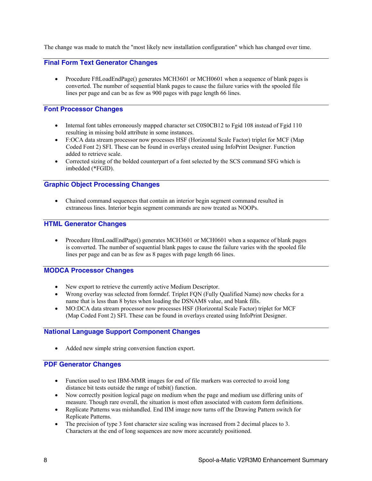The change was made to match the "most likely new installation configuration" which has changed over time.

#### <span id="page-7-0"></span>**Final Form Text Generator Changes**

• Procedure FftLoadEndPage() generates MCH3601 or MCH0601 when a sequence of blank pages is converted. The number of sequential blank pages to cause the failure varies with the spooled file lines per page and can be as few as 900 pages with page length 66 lines.

#### <span id="page-7-1"></span>**Font Processor Changes**

- Internal font tables erroneously mapped character set C0S0CB12 to Fgid 108 instead of Fgid 110 resulting in missing bold attribute in some instances.
- F:OCA data stream processor now processes HSF (Horizontal Scale Factor) triplet for MCF (Map Coded Font 2) SFI. These can be found in overlays created using InfoPrint Designer. Function added to retrieve scale.
- Corrected sizing of the bolded counterpart of a font selected by the SCS command SFG which is imbedded (\*FGID).

#### <span id="page-7-2"></span>**Graphic Object Processing Changes**

 Chained command sequences that contain an interior begin segment command resulted in extraneous lines. Interior begin segment commands are now treated as NOOPs.

#### <span id="page-7-3"></span>**HTML Generator Changes**

• Procedure HtmLoadEndPage() generates MCH3601 or MCH0601 when a sequence of blank pages is converted. The number of sequential blank pages to cause the failure varies with the spooled file lines per page and can be as few as 8 pages with page length 66 lines.

#### <span id="page-7-4"></span>**MODCA Processor Changes**

- New export to retrieve the currently active Medium Descriptor.
- Wrong overlay was selected from formdef. Triplet FQN (Fully Qualified Name) now checks for a name that is less than 8 bytes when loading the DSNAM8 value, and blank fills.
- MO:DCA data stream processor now processes HSF (Horizontal Scale Factor) triplet for MCF (Map Coded Font 2) SFI. These can be found in overlays created using InfoPrint Designer.

#### <span id="page-7-5"></span>**National Language Support Component Changes**

Added new simple string conversion function export.

#### <span id="page-7-6"></span>**PDF Generator Changes**

- Function used to test IBM-MMR images for end of file markers was corrected to avoid long distance bit tests outside the range of tstbit() function.
- Now correctly position logical page on medium when the page and medium use differing units of measure. Though rare overall, the situation is most often associated with custom form definitions.
- Replicate Patterns was mishandled. End IIM image now turns off the Drawing Pattern switch for Replicate Patterns.
- The precision of type 3 font character size scaling was increased from 2 decimal places to 3. Characters at the end of long sequences are now more accurately positioned.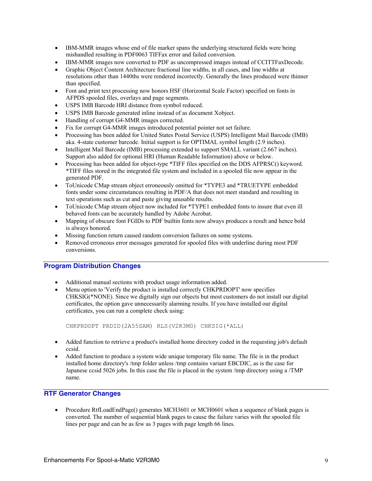- IBM-MMR images whose end of file marker spans the underlying structured fields were being mishandled resulting in PDF0063 TIFFax error and failed conversion.
- IBM-MMR images now converted to PDF as uncompressed images instead of CCITTFaxDecode.
- Graphic Object Content Architecture fractional line widths, in all cases, and line widths at resolutions other than 1440ths were rendered incorrectly. Generally the lines produced were thinner than specified.
- Font and print text processing now honors HSF (Horizontal Scale Factor) specified on fonts in AFPDS spooled files, overlays and page segments.
- USPS IMB Barcode HRI distance from symbol reduced.
- USPS IMB Barcode generated inline instead of as document Xobject.
- Handling of corrupt G4-MMR images corrected.
- Fix for corrupt G4-MMR images introduced potential pointer not set failure.
- Processing has been added for United States Postal Service (USPS) Intelligent Mail Barcode (IMB) aka. 4-state customer barcode. Initial support is for OPTIMAL symbol length (2.9 inches).
- Intelligent Mail Barcode (IMB) processing extended to support SMALL variant (2.667 inches). Support also added for optional HRI (Human Readable Information) above or below.
- Processing has been added for object-type \*TIFF files specified on the DDS AFPRSC() keyword. \*TIFF files stored in the integrated file system and included in a spooled file now appear in the generated PDF.
- ToUnicode CMap stream object erroneously omitted for \*TYPE3 and \*TRUETYPE embedded fonts under some circumstances resulting in PDF/A that does not meet standard and resulting in text operations such as cut and paste giving unusable results.
- ToUnicode CMap stream object now included for \*TYPE1 embedded fonts to insure that even ill behaved fonts can be accurately handled by Adobe Acrobat.
- Mapping of obscure font FGIDs to PDF builtin fonts now always produces a result and hence bold is always honored.
- Missing function return caused random conversion failures on some systems.
- Removed erroneous error messages generated for spooled files with underline during most PDF conversions.

#### <span id="page-8-0"></span>**Program Distribution Changes**

- Additional manual sections with product usage information added.
- Menu option to 'Verify the product is installed correctly CHKPRDOPT' now specifies CHKSIG(\*NONE). Since we digitally sign our objects but most customers do not install our digital certificates, the option gave unnecessarily alarming results. If you have installed our digital certificates, you can run a complete check using:

```
CHKPRDOPT PRDID(2A55SAM) RLS(V2R3M0) CHKSIG(*ALL)
```
- Added function to retrieve a product's installed home directory coded in the requesting job's default ccsid.
- Added function to produce a system wide unique temporary file name. The file is in the product installed home directory's /tmp folder unless /tmp contains variant EBCDIC, as is the case for Japanese ccsid 5026 jobs. In this case the file is placed in the system /tmp directory using a /TMP name.

### <span id="page-8-1"></span>**RTF Generator Changes**

• Procedure RtfLoadEndPage() generates MCH3601 or MCH0601 when a sequence of blank pages is converted. The number of sequential blank pages to cause the failure varies with the spooled file lines per page and can be as few as 3 pages with page length 66 lines.